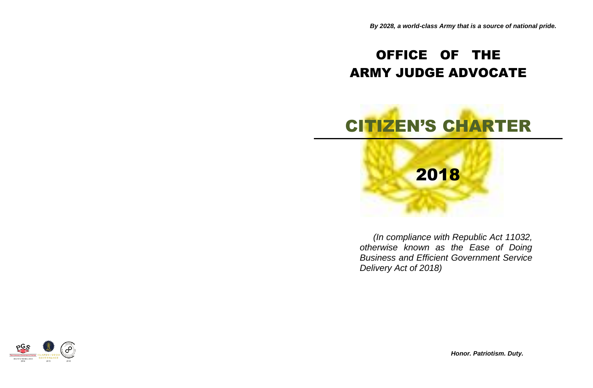## OFFICE OF THE ARMY JUDGE ADVOCATE

# CITIZEN'S CHARTER



*(In compliance with Republic Act 11032, otherwise known as the Ease of Doing Business and Efficient Government Service Delivery Act of 2018)*

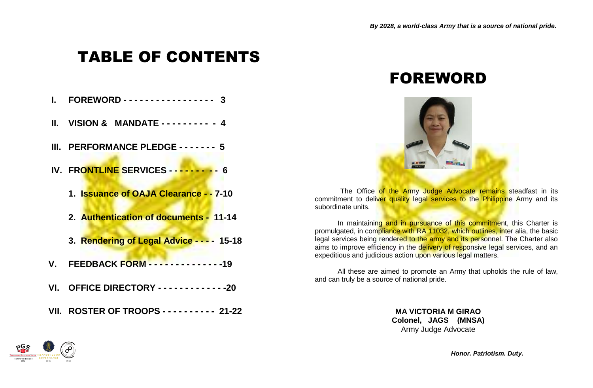# TABLE OF CONTENTS

- **I. FOREWORD - - - - - - - - - - - - - - - - 3**
- **II. VISION & MANDATE - - - - - - - - - 4**
- **III. PERFORMANCE PLEDGE - - - - - - 5**
- **IV. FRONTLINE SERVICES - - - - - - - - - 6**
	- **1. Issuance of OAJA Clearance - - 7-10**
	- **2. Authentication of documents - 11-14**
	- **3. Rendering of Legal Advice - - - - 15-18**
- **V. FEEDBACK FORM - - - - - - - - - - - - - -19**
- **VI. OFFICE DIRECTORY - - - - - - - - - - - - -20**
- **VII. ROSTER OF TROOPS - - - - - - - - - - 21-22**

## FOREWORD



The Office of the Army Judge Advocate remains steadfast in its commitment to deliver quality legal services to the Philippine Army and its subordinate units.

In maintaining and in pursuance of this commitment, this Charter is promulgated, in compliance with RA 11032, which outlines, inter alia, the basic legal services being rendered to the army and its personnel. The Charter also aims to improve efficiency in the delivery of responsive legal services, and an expeditious and judicious action upon various legal matters.

All these are aimed to promote an Army that upholds the rule of law, and can truly be a source of national pride.

> **MA VICTORIA M GIRAO Colonel, JAGS (MNSA)** Army Judge Advocate

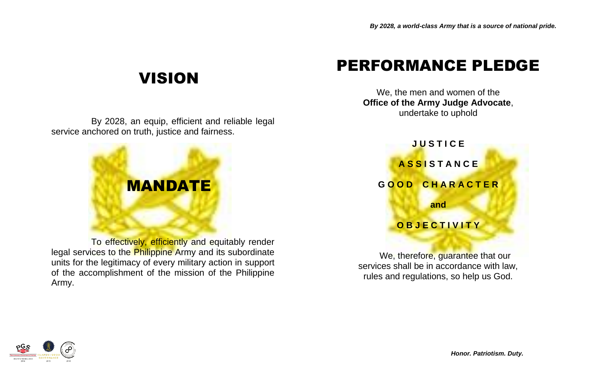# VISION

By 2028, an equip, efficient and reliable legal service anchored on truth, justice and fairness.



To effectively, efficiently and equitably render legal services to the Philippine Army and its subordinate units for the legitimacy of every military action in support of the accomplishment of the mission of the Philippine Army.

# PERFORMANCE PLEDGE

We, the men and women of the **Office of the Army Judge Advocate**, undertake to uphold



We, therefore, guarantee that our services shall be in accordance with law, rules and regulations, so help us God.

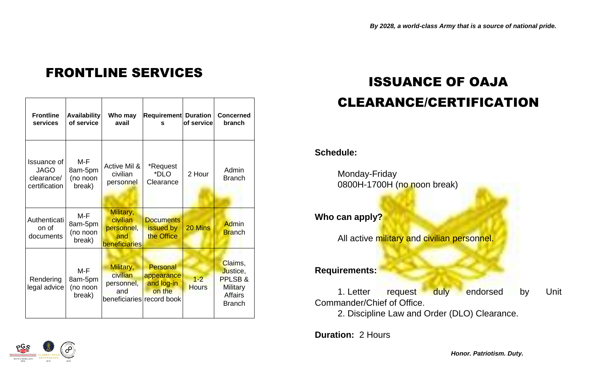# FRONTLINE SERVICES<br>
ISSUANCE OF OAJA

| <b>Frontline</b><br>services                              | <b>Availability</b><br>of service      | Who may<br>avail                                                        | <b>Requirement Duration</b><br>s                      | of service              | <b>Concerned</b><br>branch                                                          |
|-----------------------------------------------------------|----------------------------------------|-------------------------------------------------------------------------|-------------------------------------------------------|-------------------------|-------------------------------------------------------------------------------------|
| Issuance of<br><b>JAGO</b><br>clearance/<br>certification | $M-F$<br>8am-5pm<br>(no noon<br>break) | Active Mil &<br>civilian<br>personnel                                   | *Request<br>*DLO<br>Clearance                         | 2 Hour                  | Admin<br><b>Branch</b>                                                              |
| Authenticati<br>on of<br>documents                        | M-F<br>8am-5pm<br>(no noon<br>break)   | Military,<br>civilian<br>personnel,<br>and<br>beneficiaries             | <b>Documents</b><br>issued by<br>the Office           | 20 Mins                 | <b>Admin</b><br><b>Branch</b>                                                       |
| Rendering<br>legal advice                                 | $M-F$<br>8am-5pm<br>(no noon<br>break) | Military,<br>civilian<br>personnel,<br>and<br>beneficiaries record book | <b>Personal</b><br>appearance<br>and log-in<br>on the | $1 - 2$<br><b>Hours</b> | Claims,<br>Justice,<br>PPLSB&<br><b>Military</b><br><b>Affairs</b><br><b>Branch</b> |

# CLEARANCE/CERTIFICATION

#### **Schedule:**

Monday-Friday 0800H-1700H (no noon break)

**Who can apply?**

All active military and civilian personnel.

#### **Requirements:**

1. Letter request duly endorsed by Unit Commander/Chief of Office.

2. Discipline Law and Order (DLO) Clearance.

**Duration:** 2 Hours

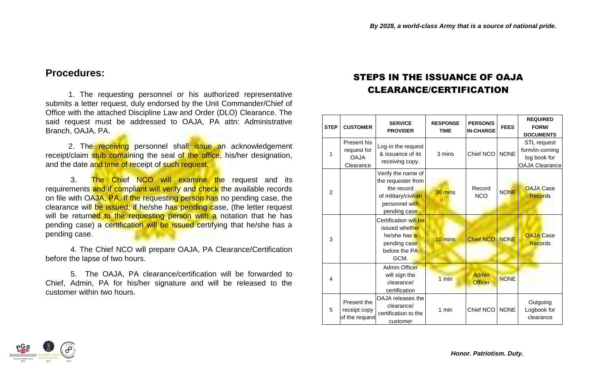#### **Procedures:**

1. The requesting personnel or his authorized representative submits a letter request, duly endorsed by the Unit Commander/Chief of Office with the attached Discipline Law and Order (DLO) Clearance. The said request must be addressed to OAJA, PA attn: Administrative Branch, OAJA, PA.

2. The receiving personnel shall issue an acknowledgement receipt/claim stub containing the seal of the office, his/her designation, and the date and time of receipt of such request.

3. The Chief NCO will examine the request and its requirements and if compliant will verify and check the available records on file with OAJA, PA. If the requesting person has no pending case, the clearance will be issued; if he/she has pending case, (the letter request will be returned to the requesting person with a notation that he has pending case) a certification will be issued certifying that he/she has a pending case.

4. The Chief NCO will prepare OAJA, PA Clearance/Certification before the lapse of two hours.

5. The OAJA, PA clearance/certification will be forwarded to Chief, Admin, PA for his/her signature and will be released to the customer within two hours.

#### STEPS IN THE ISSUANCE OF OAJA CLEARANCE/CERTIFICATION

| <b>STEP</b>   | <b>CUSTOMER</b>                                        | <b>SERVICE</b><br><b>PROVIDER</b>                                                                                | <b>RESPONSE</b><br><b>TIME</b> | <b>PERSON/S</b><br><b>IN-CHARGE</b> | <b>FEES</b> | <b>REQUIRED</b><br>FORM/<br><b>DOCUMENTS</b>                           |
|---------------|--------------------------------------------------------|------------------------------------------------------------------------------------------------------------------|--------------------------------|-------------------------------------|-------------|------------------------------------------------------------------------|
| 1             | Present his<br>request for<br><b>OAJA</b><br>Clearance | Log-in the request<br>& issuance of its<br>receiving copy.                                                       | 3 mins                         | Chief NCO                           | <b>NONE</b> | STL request<br>form/in-coming<br>log book for<br><b>OAJA Clearance</b> |
| $\mathcal{P}$ |                                                        | Verify the name of<br>the requester from<br>the record<br>of military/civilian<br>personnel with<br>pending case | $30 \text{ mins}$              | Record<br><b>NCO</b>                | <b>NONE</b> | <b>OAJA Case</b><br><b>Records</b>                                     |
| 3             |                                                        | Certification will be<br>issued whether<br>he/she has a<br>pending case<br>before the PA<br>GCM.                 | 10 mins                        | <b>Chief NCO</b>                    | <b>NONE</b> | <b>OAJA Case</b><br><b>Records</b>                                     |
| 4             |                                                        | <b>Admin Officer</b><br>will sign the<br>clearance/<br>certification                                             | $1 \text{ min}$                | Admin<br><b>Officer</b>             | <b>NONE</b> |                                                                        |
| 5             | Present the<br>receipt copy<br>of the request          | OAJA releases the<br>clearance/<br>certification to the<br>customer                                              | 1 min                          | Chief NCO                           | <b>NONE</b> | Outgoing<br>Logbook for<br>clearance                                   |

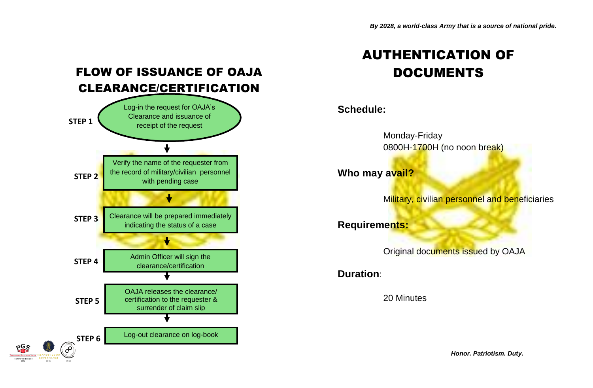### FLOW OF ISSUANCE OF OAJA CLEARANCE/CERTIFICATION



## AUTHENTICATION OF DOCUMENTS

#### **Schedule:**

Monday-Friday 0800H-1700H (no noon break)

**Who may avail?**

Military, civilian personnel and beneficiaries

**Requirements:**

Original documents issued by OAJA

**Duration**:

20 Minutes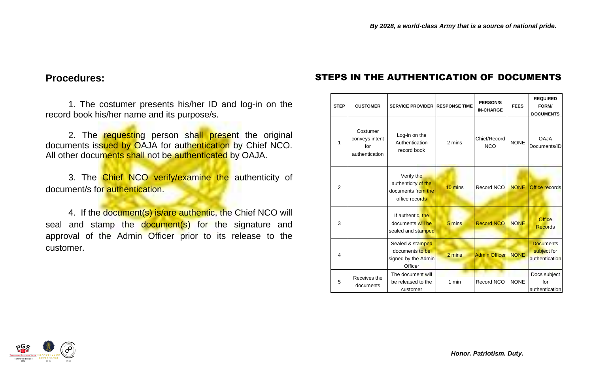#### **Procedures:**

1. The costumer presents his/her ID and log-in on the record book his/her name and its purpose/s.

2. The requesting person shall present the original documents issued by OAJA for authentication by Chief NCO. All other documents shall not be authenticated by OAJA.

3. The Chief NCO verify/examine the authenticity of document/s for authentication.

4. If the document(s) is/are authentic, the Chief NCO will seal and stamp the document(s) for the signature and approval of the Admin Officer prior to its release to the customer.

#### STEPS IN THE AUTHENTICATION OF DOCUMENTS

| <b>STEP</b>    | <b>CUSTOMER</b>                                     | <b>SERVICE PROVIDER RESPONSE TIME</b>                                     |         | <b>PERSON/S</b><br><b>IN-CHARGE</b> | <b>FEES</b> | <b>REQUIRED</b><br>FORM/<br><b>DOCUMENTS</b>      |
|----------------|-----------------------------------------------------|---------------------------------------------------------------------------|---------|-------------------------------------|-------------|---------------------------------------------------|
| 1              | Costumer<br>conveys intent<br>for<br>authentication | Log-in on the<br>Authentication<br>record book                            | 2 mins  | Chief/Record<br><b>NCO</b>          | <b>NONE</b> | <b>OAJA</b><br>Documents/ID                       |
| $\overline{2}$ |                                                     | Verify the<br>authenticity of the<br>documents from the<br>office records | 10 mins | Record NCO                          | <b>NONE</b> | <b>Office records</b>                             |
| 3              |                                                     | If authentic, the<br>documents will be<br>sealed and stamped              | 5 mins  | <b>Record NCO</b>                   | <b>NONE</b> | <b>Office</b><br><b>Records</b>                   |
| 4              |                                                     | Sealed & stamped<br>documents to be<br>signed by the Admin<br>Officer     | 2 mins  | <b>Admin Officer</b>                | <b>NONE</b> | <b>Documents</b><br>subject for<br>authentication |
| 5              | Receives the<br>documents                           | The document will<br>be released to the<br>customer                       | 1 min   | Record NCO                          | <b>NONE</b> | Docs subject<br>for<br>authentication             |

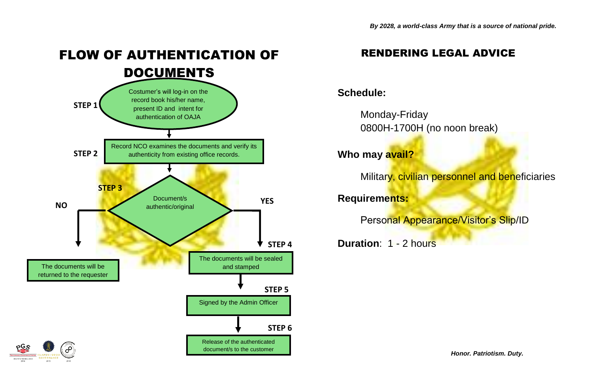# FLOW OF AUTHENTICATION OF DOCUMENTS



#### RENDERING LEGAL ADVICE

#### **Schedule:**

Monday-Friday 0800H-1700H (no noon break)

**Who may avail?**

Military, civilian personnel and beneficiaries

**Requirements:**

Personal Appearance/Visitor's Slip/ID

**Duration**: 1 - 2 hours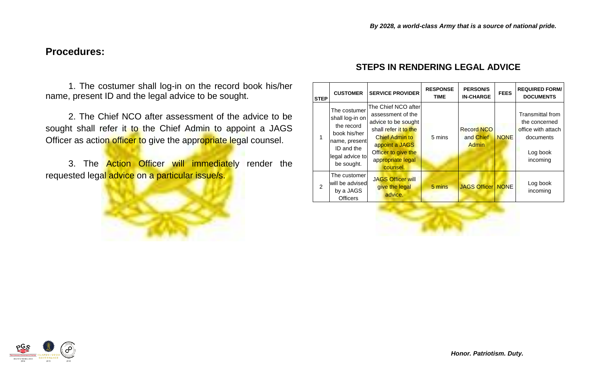#### **Procedures:**

1. The costumer shall log-in on the record book his/her name, present ID and the legal advice to be sought.

2. The Chief NCO after assessment of the advice to be sought shall refer it to the Chief Admin to appoint a JAGS Officer as action officer to give the appropriate legal counsel.

3. The **Action Officer will immediately** render the requested legal advice on a particular issue/s.



#### **STEPS IN RENDERING LEGAL ADVICE**

| <b>STEP</b>    | <b>CUSTOMER</b>                                                                                                               | <b>SERVICE PROVIDER</b>                                                                                                                                                                     | <b>RESPONSE</b><br><b>TIME</b> | <b>PERSON/S</b><br><b>IN-CHARGE</b>            | <b>FEES</b> | <b>REQUIRED FORM/</b><br><b>DOCUMENTS</b>                                                           |
|----------------|-------------------------------------------------------------------------------------------------------------------------------|---------------------------------------------------------------------------------------------------------------------------------------------------------------------------------------------|--------------------------------|------------------------------------------------|-------------|-----------------------------------------------------------------------------------------------------|
|                | The costumer<br>shall log-in on<br>the record<br>book his/her<br>name, present<br>ID and the<br>legal advice to<br>be sought. | The Chief NCO after<br>assessment of the<br>advice to be sought<br>shall refer it to the<br><b>Chief Admin to</b><br>appoint a JAGS<br>Officer to give the<br>appropriate legal<br>counsel. | 5 mins                         | <b>Record NCO</b><br>and Chief<br><b>Admin</b> | <b>NONE</b> | <b>Transmittal from</b><br>the concerned<br>office with attach<br>documents<br>Log book<br>incoming |
| $\mathfrak{p}$ | The customer<br>will be advised<br>by a JAGS<br><b>Officers</b>                                                               | <b>JAGS Officer will</b><br>give the legal<br>advice.                                                                                                                                       | 5 mins                         | <b>JAGS Officer   NONE</b>                     |             | Log book<br>incoming                                                                                |

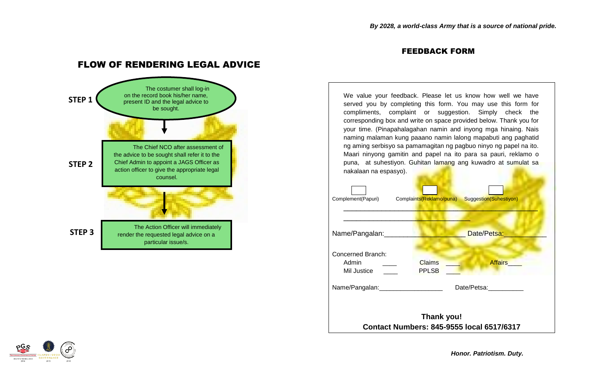#### FEEDBACK FORM



#### FLOW OF RENDERING LEGAL ADVICE



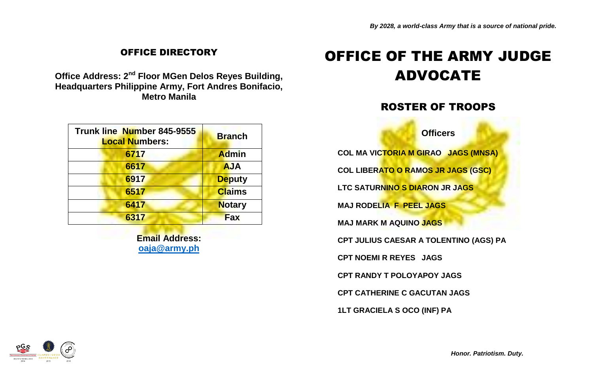#### OFFICE DIRECTORY

**Office Address: 2nd Floor MGen Delos Reyes Building, Headquarters Philippine Army, Fort Andres Bonifacio, Metro Manila**

| Trunk line Number 845-9555<br><b>Local Numbers:</b> | <b>Branch</b> |
|-----------------------------------------------------|---------------|
| 6717                                                | <b>Admin</b>  |
| 6617                                                | <b>AJA</b>    |
| 6917                                                | <b>Deputy</b> |
| 6517                                                | <b>Claims</b> |
| 6417                                                | <b>Notary</b> |
| 6317                                                | <b>Fax</b>    |

**Email Address: [oaja@army.ph](mailto:oaja@army.ph)**

## OFFICE OF THE ARMY JUDGE ADVOCATE

#### ROSTER OF TROOPS

**Officers**

**COL MA VICTORIA M GIRAO JAGS (MNSA)**

**COL LIBERATO O RAMOS JR JAGS (GSC)**

**LTC SATURNINO S DIARON JR JAGS**

**MAJ RODELIA F PEEL JAGS**

**MAJ MARK M AQUINO JAGS**

**CPT JULIUS CAESAR A TOLENTINO (AGS) PA**

**CPT NOEMI R REYES JAGS**

**CPT RANDY T POLOYAPOY JAGS**

**CPT CATHERINE C GACUTAN JAGS**

**1LT GRACIELA S OCO (INF) PA**